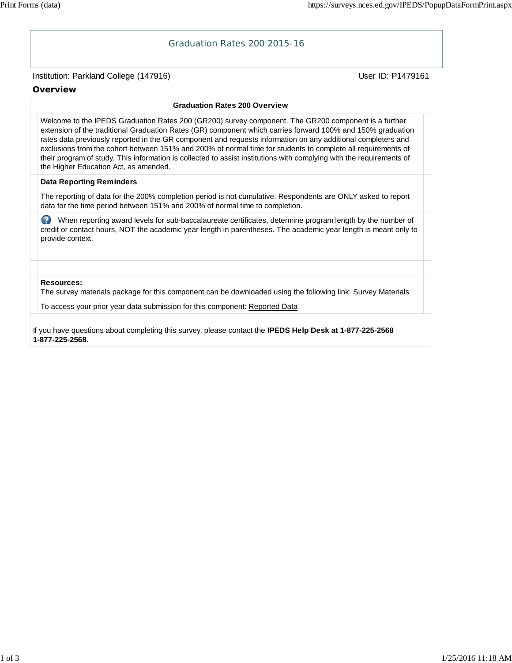## Institution: Parkland College (147916) November 2012 12: Physics User ID: P1479161 Graduation Rates 200 2015-16 **Overview Graduation Rates 200 Overview** Welcome to the IPEDS Graduation Rates 200 (GR200) survey component. The GR200 component is a further extension of the traditional Graduation Rates (GR) component which carries forward 100% and 150% graduation rates data previously reported in the GR component and requests information on any additional completers and exclusions from the cohort between 151% and 200% of normal time for students to complete all requirements of their program of study. This information is collected to assist institutions with complying with the requirements of the Higher Education Act, as amended. **Data Reporting Reminders** The reporting of data for the 200% completion period is not cumulative. Respondents are ONLY asked to report data for the time period between 151% and 200% of normal time to completion. When reporting award levels for sub-baccalaureate certificates, determine program length by the number of credit or contact hours, NOT the academic year length in parentheses. The academic year length is meant only to provide context. **Resources:** The survey materials package for this component can be downloaded using the following link: Survey Materials To access your prior year data submission for this component: Reported Data

If you have questions about completing this survey, please contact the **IPEDS Help Desk at 1-877-225-2568 1-877-225-2568**.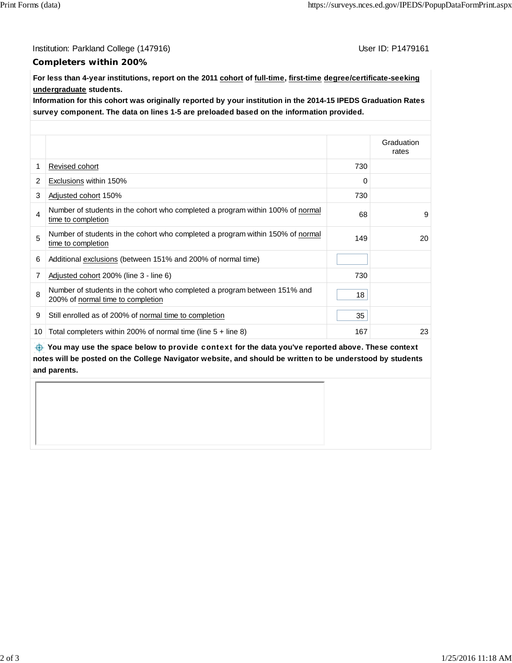Institution: Parkland College (147916) Contract College (147916)

## **Completers within 200%**

**For less than 4-year institutions, report on the 2011 cohort of full-time, first-time degree/certificate-seeking undergraduate students.**

**Information for this cohort was originally reported by your institution in the 2014-15 IPEDS Graduation Rates survey component. The data on lines 1-5 are preloaded based on the information provided.**

|    |                                                                                                                |     | Graduation<br>rates |
|----|----------------------------------------------------------------------------------------------------------------|-----|---------------------|
| 1  | Revised cohort                                                                                                 | 730 |                     |
| 2  | Exclusions within 150%                                                                                         | 0   |                     |
| 3  | Adjusted cohort 150%                                                                                           | 730 |                     |
| 4  | Number of students in the cohort who completed a program within 100% of normal<br>time to completion           | 68  | 9                   |
| 5  | Number of students in the cohort who completed a program within 150% of normal<br>time to completion           | 149 | 20                  |
| 6  | Additional exclusions (between 151% and 200% of normal time)                                                   |     |                     |
| 7  | Adjusted cohort 200% (line 3 - line 6)                                                                         | 730 |                     |
| 8  | Number of students in the cohort who completed a program between 151% and<br>200% of normal time to completion | 18  |                     |
| 9  | Still enrolled as of 200% of normal time to completion                                                         | 35  |                     |
| 10 | Total completers within 200% of normal time (line $5 +$ line 8)                                                | 167 | 23                  |

 **You may use the space below to** provide context **for the data you've reported above. These context notes will be posted on the College Navigator website, and should be written to be understood by students and parents.**